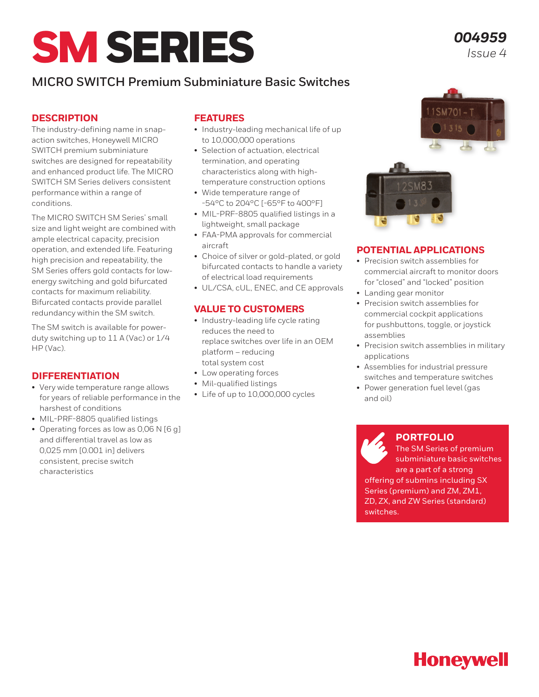# SM SERIES

## **MICRO SWITCH Premium Subminiature Basic Switches**

## **DESCRIPTION**

The industry-defining name in snapaction switches, Honeywell MICRO SWITCH premium subminiature switches are designed for repeatability and enhanced product life. The MICRO SWITCH SM Series delivers consistent performance within a range of conditions.

The MICRO SWITCH SM Series' small size and light weight are combined with ample electrical capacity, precision operation, and extended life. Featuring high precision and repeatability, the SM Series offers gold contacts for lowenergy switching and gold bifurcated contacts for maximum reliability. Bifurcated contacts provide parallel redundancy within the SM switch.

The SM switch is available for powerduty switching up to 11 A (Vac) or 1/4 HP (Vac).

#### **DIFFERENTIATION**

- Very wide temperature range allows for years of reliable performance in the harshest of conditions
- MIL-PRF-8805 qualified listings
- Operating forces as low as 0,06 N [6 g] and differential travel as low as 0,025 mm [0.001 in] delivers consistent, precise switch characteristics

#### **FEATURES**

- Industry-leading mechanical life of up to 10,000,000 operations
- Selection of actuation, electrical termination, and operating characteristics along with hightemperature construction options
- Wide temperature range of -54°C to 204°C [-65°F to 400°F]
- MIL-PRF-8805 qualified listings in a lightweight, small package
- FAA-PMA approvals for commercial aircraft
- Choice of silver or gold-plated, or gold bifurcated contacts to handle a variety of electrical load requirements
- UL/CSA, cUL, ENEC, and CE approvals

#### **VALUE TO CUSTOMERS**

- Industry-leading life cycle rating reduces the need to replace switches over life in an OEM platform – reducing total system cost
- Low operating forces
- Mil-qualified listings
- Life of up to 10,000,000 cycles



## **POTENTIAL APPLICATIONS**

- Precision switch assemblies for commercial aircraft to monitor doors for "closed" and "locked" position
- Landing gear monitor
- Precision switch assemblies for commercial cockpit applications for pushbuttons, toggle, or joystick assemblies
- Precision switch assemblies in military applications
- Assemblies for industrial pressure switches and temperature switches
- Power generation fuel level (gas and oil)

#### **[PORTFOLIO](http://sensing.honeywell.com/switches/general-purpose-basic-switches)**

The SM Series of premium subminiature basic switches are a part of a strong offering of submins including SX Series (premium) and ZM, ZM1, ZD, ZX, and ZW Series (standard) switches.



*004959 Issue 4*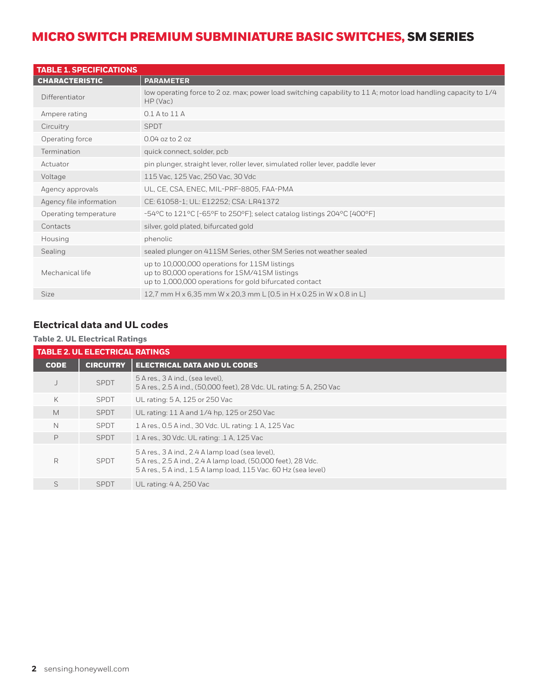| <b>TABLE 1. SPECIFICATIONS</b> |                                                                                                                                                          |
|--------------------------------|----------------------------------------------------------------------------------------------------------------------------------------------------------|
| <b>CHARACTERISTIC</b>          | <b>PARAMETER</b>                                                                                                                                         |
| Differentiator                 | low operating force to 2 oz. max; power load switching capability to 11 A; motor load handling capacity to 1/4<br>HP (Vac)                               |
| Ampere rating                  | $0.1$ A to $11$ A                                                                                                                                        |
| Circuitry                      | <b>SPDT</b>                                                                                                                                              |
| Operating force                | 0.04 oz to 2 oz                                                                                                                                          |
| Termination                    | quick connect, solder, pcb                                                                                                                               |
| Actuator                       | pin plunger, straight lever, roller lever, simulated roller lever, paddle lever                                                                          |
| Voltage                        | 115 Vac, 125 Vac, 250 Vac, 30 Vdc                                                                                                                        |
| Agency approvals               | UL, CE, CSA, ENEC, MIL-PRF-8805, FAA-PMA                                                                                                                 |
| Agency file information        | CE: 61058-1; UL: E12252; CSA: LR41372                                                                                                                    |
| Operating temperature          | -54°C to 121°C [-65°F to 250°F]; select catalog listings 204°C [400°F]                                                                                   |
| Contacts                       | silver, gold plated, bifurcated gold                                                                                                                     |
| Housing                        | phenolic                                                                                                                                                 |
| Sealing                        | sealed plunger on 411SM Series, other SM Series not weather sealed                                                                                       |
| Mechanical life                | up to 10,000,000 operations for 11SM listings<br>up to 80,000 operations for 1SM/41SM listings<br>up to 1,000,000 operations for gold bifurcated contact |
| <b>Size</b>                    | 12.7 mm H x 6.35 mm W x 20.3 mm L [0.5 in H x 0.25 in W x 0.8 in L]                                                                                      |

## **Electrical data and UL codes**

#### **Table 2. UL Electrical Ratings**

|             | <b>TABLE 2. UL ELECTRICAL RATINGS</b> |                                                                                                                                                                                      |  |  |  |  |  |  |  |
|-------------|---------------------------------------|--------------------------------------------------------------------------------------------------------------------------------------------------------------------------------------|--|--|--|--|--|--|--|
| <b>CODE</b> | <b>CIRCUITRY</b>                      | <b>ELECTRICAL DATA AND UL CODES</b>                                                                                                                                                  |  |  |  |  |  |  |  |
|             | SPDT                                  | 5 A res., 3 A ind., (sea level),<br>5 A res., 2.5 A ind., (50,000 feet), 28 Vdc. UL rating: 5 A, 250 Vac                                                                             |  |  |  |  |  |  |  |
| K           | <b>SPDT</b>                           | UL rating: 5 A, 125 or 250 Vac                                                                                                                                                       |  |  |  |  |  |  |  |
| M           | <b>SPDT</b>                           | UL rating: 11 A and 1/4 hp, 125 or 250 Vac                                                                                                                                           |  |  |  |  |  |  |  |
| N           | <b>SPDT</b>                           | 1 A res., 0.5 A ind., 30 Vdc. UL rating: 1 A, 125 Vac                                                                                                                                |  |  |  |  |  |  |  |
| P           | <b>SPDT</b>                           | 1 A res., 30 Vdc. UL rating: .1 A, 125 Vac                                                                                                                                           |  |  |  |  |  |  |  |
| R           | <b>SPDT</b>                           | 5 A res., 3 A ind., 2.4 A lamp load (sea level),<br>5 A res., 2.5 A ind., 2.4 A lamp load, (50,000 feet), 28 Vdc.<br>5 A res., 5 A ind., 1.5 A lamp load, 115 Vac. 60 Hz (sea level) |  |  |  |  |  |  |  |
| S           | <b>SPDT</b>                           | UL rating: 4 A, 250 Vac                                                                                                                                                              |  |  |  |  |  |  |  |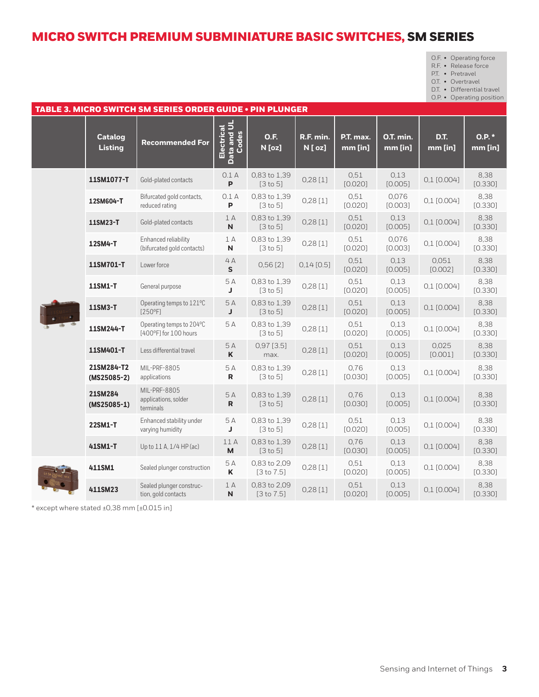| $O.F. \cdot$ Operating force |
|------------------------------|
|                              |

R.F. • Release force

P.T. • Pretravel O.T. • Overtravel

D.T. • Differential travel

O.P. • Operating position

| TABLE 3. MICRO SWITCH SM SERIES ORDER GUIDE . PIN PLUNGER |                           |                                                    |                                    |                                |                      |                      |                             |                  |                     |  |
|-----------------------------------------------------------|---------------------------|----------------------------------------------------|------------------------------------|--------------------------------|----------------------|----------------------|-----------------------------|------------------|---------------------|--|
|                                                           | <b>Catalog</b><br>Listing | <b>Recommended For</b>                             | Electrical<br>Data and UL<br>Codes | <b>O.F.</b><br>N [oz]          | R.F. min.<br>N [ oz] | P.T. max.<br>mm [in] | <b>0.T. min.</b><br>mm [in] | D.T.<br>mm [in]  | $0.P.$ *<br>mm [in] |  |
|                                                           | 11SM1077-T                | Gold-plated contacts                               | 0.1A<br>P                          | 0,83 to 1,39<br>[3 to 5]       | 0,28[1]              | 0,51<br>[0.020]      | 0.13<br>[0.005]             | $0,1$ [0.004]    | 8,38<br>[0.330]     |  |
|                                                           | 12SM604-T                 | Bifurcated gold contacts,<br>reduced rating        | 0.1A<br>P                          | 0,83 to 1,39<br>[3 to 5]       | 0,28[1]              | 0,51<br>[0.020]      | 0,076<br>[0.003]            | $0,1$ [0.004]    | 8,38<br>[0.330]     |  |
|                                                           | 11SM23-T                  | Gold-plated contacts                               | 1A<br>$\mathsf{N}$                 | 0,83 to 1,39<br>[3 to 5]       | 0,28[1]              | 0,51<br>[0.020]      | 0,13<br>[0.005]             | $0,1$ [0.004]    | 8,38<br>[0.330]     |  |
|                                                           | 12SM4-T                   | Enhanced reliability<br>(bifurcated gold contacts) | 1A<br>${\sf N}$                    | 0,83 to 1,39<br>[3 to 5]       | 0,28[1]              | 0,51<br>[0.020]      | 0,076<br>[0.003]            | $0,1$ [0.004]    | 8,38<br>[0.330]     |  |
|                                                           | 11SM701-T                 | Lower force                                        | 4A<br>S.                           | 0,56[2]                        | $0,14$ [0.5]         | 0,51<br>[0.020]      | 0.13<br>[0.005]             | 0,051<br>[0.002] | 8,38<br>[0.330]     |  |
|                                                           | 11SM1-T                   | General purpose                                    | 5A<br>J                            | 0,83 to 1,39<br>[3 to 5]       | 0,28[1]              | 0,51<br>[0.020]      | 0.13<br>[0.005]             | 0,1 [0.004]      | 8,38<br>[0.330]     |  |
|                                                           | 11SM3-T                   | Operating temps to 121°C<br>[250°F]                | 5A<br>J                            | 0.83 to 1.39<br>[3 to 5]       | 0,28[1]              | 0,51<br>[0.020]      | 0,13<br>[0.005]             | $0,1$ [0.004]    | 8.38<br>[0.330]     |  |
|                                                           | 11SM244-T                 | Operating temps to 204°C<br>[400°F] for 100 hours  | 5A                                 | 0,83 to 1,39<br>[3 to 5]       | 0,28[1]              | 0,51<br>[0.020]      | 0.13<br>[0.005]             | $0,1$ [0.004]    | 8,38<br>[0.330]     |  |
|                                                           | 11SM401-T                 | Less differential travel                           | 5A<br>K                            | $0,97$ [3.5]<br>max.           | 0,28[1]              | 0,51<br>[0.020]      | 0.13<br>[0.005]             | 0,025<br>[0.001] | 8,38<br>[0.330]     |  |
|                                                           | 21SM284-T2<br>(MS25085-2) | MIL-PRF-8805<br>applications                       | 5A<br>$\mathsf{R}$                 | 0,83 to 1,39<br>[3 to 5]       | 0,28[1]              | 0.76<br>[0.030]      | 0.13<br>[0.005]             | $0,1$ [0.004]    | 8,38<br>[0.330]     |  |
|                                                           | 21SM284<br>$(MS25085-1)$  | MIL-PRF-8805<br>applications, solder<br>terminals  | 5A<br>$\mathsf{R}$                 | 0,83 to 1,39<br>[3 to 5]       | 0,28[1]              | 0,76<br>[0.030]      | 0.13<br>[0.005]             | $0,1$ [0.004]    | 8,38<br>[0.330]     |  |
|                                                           | 22SM1-T                   | Enhanced stability under<br>varying humidity       | 5A<br>J                            | 0,83 to 1,39<br>[3 to 5]       | 0,28[1]              | 0.51<br>[0.020]      | 0.13<br>[0.005]             | $0,1$ [0.004]    | 8,38<br>[0.330]     |  |
|                                                           | 41SM1-T                   | Up to 11 A, 1/4 HP (ac)                            | 11 A<br>M                          | 0,83 to 1,39<br>[3 to 5]       | 0,28[1]              | 0,76<br>[0.030]      | 0.13<br>[0.005]             | $0,1$ [0.004]    | 8,38<br>[0.330]     |  |
|                                                           | 411SM1                    | Sealed plunger construction                        | 5A<br>K                            | 0,83 to 2,09<br>$[3$ to $7.5]$ | 0,28[1]              | 0,51<br>[0.020]      | 0.13<br>[0.005]             | $0,1$ [0.004]    | 8,38<br>[0.330]     |  |
|                                                           | 411SM23                   | Sealed plunger construc-<br>tion, gold contacts    | 1A<br>N                            | 0,83 to 2,09<br>[3 to 7.5]     | 0,28[1]              | 0,51<br>[0.020]      | 0,13<br>[0.005]             | $0,1$ [0.004]    | 8,38<br>[0.330]     |  |

\* except where stated ±0,38 mm [±0.015 in]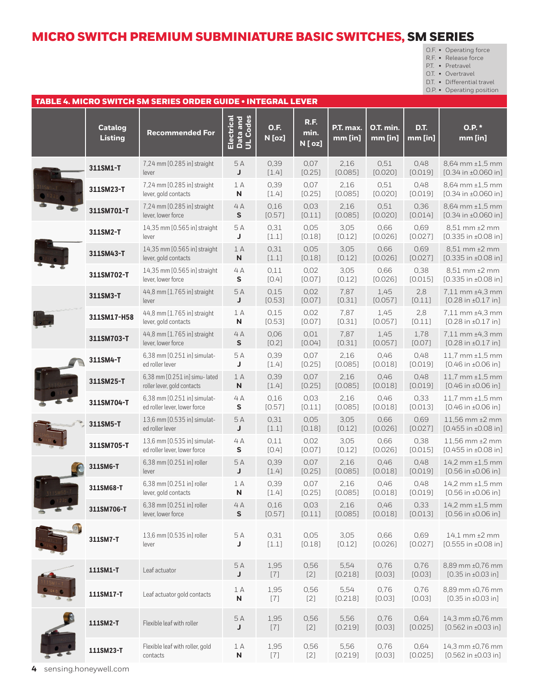O.F. • Operating force

R.F. • Release force

P.T. • Pretravel

O.T. • Overtravel

D.T. • Differential travel

O.P. • Operating position

| TABLE 4. MICRO SWITCH SM SERIES ORDER GUIDE • INTEGRAL LEVER |                                  |                                                               |                                    |                                                                                                                                                                                                                                                                                                                                                                                                                                                                                                                |                                |                        |                        |                 |                                                             |  |
|--------------------------------------------------------------|----------------------------------|---------------------------------------------------------------|------------------------------------|----------------------------------------------------------------------------------------------------------------------------------------------------------------------------------------------------------------------------------------------------------------------------------------------------------------------------------------------------------------------------------------------------------------------------------------------------------------------------------------------------------------|--------------------------------|------------------------|------------------------|-----------------|-------------------------------------------------------------|--|
|                                                              | <b>Catalog</b><br><b>Listing</b> | <b>Recommended For</b>                                        | Electrical<br>Data and<br>UL Codes | <b>O.F.</b><br>N [oz]                                                                                                                                                                                                                                                                                                                                                                                                                                                                                          | <b>R.F.</b><br>min.<br>N [ oz] | P.T. max.<br>$mm$ [in] | O.T. min.<br>$mm$ [in] | D.T.<br>mm [in] | 0.P.<br>mm [in]                                             |  |
|                                                              | 311SM1-T                         | 7,24 mm [0.285 in] straight<br>lever                          | 5 A<br>J                           | 0,39<br>$[1.4]$                                                                                                                                                                                                                                                                                                                                                                                                                                                                                                | 0,07<br>[0.25]                 | 2,16<br>[0.085]        | 0,51<br>[0.020]        | 0,48<br>[0.019] | 8,64 mm ±1,5 mm<br>$[0.34$ in $±0.060$ in]                  |  |
|                                                              | 311SM23-T                        | 7,24 mm [0.285 in] straight<br>lever, gold contacts           | 1A<br>${\sf N}$                    | 0,39<br>$[1.4]$                                                                                                                                                                                                                                                                                                                                                                                                                                                                                                | 0.07<br>[0.25]                 | 2,16<br>[0.085]        | 0,51<br>[0.020]        | 0,48<br>[0.019] | 8,64 mm ±1,5 mm<br>$[0.34$ in $±0.060$ in]                  |  |
|                                                              | 311SM701-T                       | 7,24 mm [0.285 in] straight<br>lever, lower force             | 4A<br>${\sf s}$                    | 0,16<br>[0.57]                                                                                                                                                                                                                                                                                                                                                                                                                                                                                                 | 0.03<br>[0.11]                 | 2,16<br>[0.085]        | 0,51<br>[0.020]        | 0.36<br>[0.014] | $8,64$ mm $±1,5$ mm<br>$[0.34$ in $±0.060$ in]              |  |
|                                                              | 311SM2-T                         | 14,35 mm [0.565 in] straight<br>lever                         | 5 A<br>J                           | 0,31<br>$[1.1]$                                                                                                                                                                                                                                                                                                                                                                                                                                                                                                | 0.05<br>[0.18]                 | 3,05<br>[0.12]         | 0.66<br>[0.026]        | 0.69<br>[0.027] | 8,51 mm ±2 mm<br>$[0.335$ in $\pm 0.08$ in]                 |  |
|                                                              | 311SM43-T                        | 14,35 mm [0.565 in] straight<br>lever, gold contacts          | 1A<br>${\sf N}$                    | 0,31<br>$[1.1]$                                                                                                                                                                                                                                                                                                                                                                                                                                                                                                | 0,05<br>[0.18]                 | 3,05<br>[0.12]         | 0,66<br>[0.026]        | 0,69<br>[0.027] | 8,51 mm ±2 mm<br>$[0.335$ in $\pm 0.08$ in]                 |  |
|                                                              | 311SM702-T                       | 14,35 mm [0.565 in] straight<br>lever, lower force            | 4A<br>S                            | 0,11<br>$[0.4]$                                                                                                                                                                                                                                                                                                                                                                                                                                                                                                | 0,02<br>[0.07]                 | 3,05<br>[0.12]         | 0,66<br>[0.026]        | 0,38<br>[0.015] | 8,51 mm ±2 mm<br>$[0.335$ in $\pm 0.08$ in]                 |  |
|                                                              | 311SM3-T                         | 44,8 mm [1.765 in] straight<br>lever                          | 5A<br>J                            | 0,15<br>[0.53]                                                                                                                                                                                                                                                                                                                                                                                                                                                                                                 | 0.02<br>[0.07]                 | 7,87<br>[0.31]         | 1,45<br>[0.057]        | 2,8<br>[0.11]   | 7,11 mm ±4,3 mm<br>$[0.28$ in $\pm 0.17$ in]                |  |
|                                                              | 311SM17-H58                      | 44,8 mm [1.765 in] straight<br>lever, gold contacts           | 1A<br>$\boldsymbol{\mathsf{N}}$    | 0.15<br>[0.53]                                                                                                                                                                                                                                                                                                                                                                                                                                                                                                 | 0,02<br>[0.07]                 | 7,87<br>[0.31]         | 1,45<br>[0.057]        | 2,8<br>[0.11]   | 7,11 mm ±4,3 mm<br>$[0.28$ in $±0.17$ in]                   |  |
|                                                              | 311SM703-T                       | 44,8 mm [1.765 in] straight<br>lever, lower force             | 4A<br>${\sf s}$                    | 0,06<br>$[0.2]$                                                                                                                                                                                                                                                                                                                                                                                                                                                                                                | 0.01<br>[0.04]                 | 7,87<br>[0.31]         | 1,45<br>[0.057]        | 1,78<br>[0.07]  | 7,11 mm ±4,3 mm<br>$[0.28 \text{ in } \pm 0.17 \text{ in}]$ |  |
|                                                              | 311SM4-T                         | 6,38 mm [0.251 in] simulat-<br>ed roller lever                | 5 A<br>J                           | 0,39<br>$[1.4]$                                                                                                                                                                                                                                                                                                                                                                                                                                                                                                | 0.07<br>[0.25]                 | 2,16<br>[0.085]        | 0,46<br>[0.018]        | 0,48<br>[0.019] | $11,7$ mm $\pm 1,5$ mm<br>$[0.46$ in $±0.06$ in]            |  |
|                                                              | 311SM25-T                        | 6,38 mm [0.251 in] simu- lated<br>roller lever, gold contacts | 1A<br>N                            | 0,39<br>$[1.4]$                                                                                                                                                                                                                                                                                                                                                                                                                                                                                                | 0.07<br>[0.25]                 | 2,16<br>[0.085]        | 0,46<br>[0.018]        | 0,48<br>[0.019] | $11,7$ mm $\pm 1,5$ mm<br>$[0.46$ in $\pm 0.06$ in]         |  |
|                                                              | 311SM704-T                       | 6,38 mm [0.251 in] simulat-<br>ed roller lever, lower force   | 4A<br>S                            | 0,16<br>[0.57]                                                                                                                                                                                                                                                                                                                                                                                                                                                                                                 | 0.03<br>[0.11]                 | 2,16<br>[0.085]        | 0,46<br>[0.018]        | 0,33<br>[0.013] | $11,7$ mm $\pm 1,5$ mm<br>$[0.46$ in $\pm 0.06$ in]         |  |
|                                                              | 311SM5-T                         | 13,6 mm [0.535 in] simulat-<br>ed roller lever                | 5A<br>J                            | 0,31<br>$[1.1]$                                                                                                                                                                                                                                                                                                                                                                                                                                                                                                | 0.05<br>[0.18]                 | 3,05<br>[0.12]         | 0,66<br>[0.026]        | 0,69<br>[0.027] | 11,56 mm ±2 mm<br>$[0.455$ in $\pm 0.08$ in]                |  |
|                                                              | 311SM705-T                       | 13.6 mm [0.535 in] simulat-<br>ed roller lever, lower force   | 4A<br>S                            | 0.11<br>$[0.4]$                                                                                                                                                                                                                                                                                                                                                                                                                                                                                                | 0,02<br>[0.07]                 | 3,05<br>[0.12]         | 0,66<br>[0.026]        | 0,38<br>[0.015] | 11,56 mm ±2 mm<br>$[0.455$ in $\pm 0.08$ in]                |  |
|                                                              | 311SM6-T                         | 6,38 mm [0.251 in] roller<br>lever                            | 5A<br>J                            | 0,39<br>$[1.4]$                                                                                                                                                                                                                                                                                                                                                                                                                                                                                                | 0.07<br>[0.25]                 | 2,16<br>[0.085]        | 0,46<br>[0.018]        | 0,48<br>[0.019] | 14,2 mm ±1,5 mm<br>$[0.56$ in $\pm 0.06$ in]                |  |
|                                                              | 311SM68-T                        | 6,38 mm [0.251 in] roller<br>lever, gold contacts             | 1A<br>N                            | 0,39<br>$[1.4]$                                                                                                                                                                                                                                                                                                                                                                                                                                                                                                | 0,07<br>[0.25]                 | 2,16<br>[0.085]        | 0,46<br>[0.018]        | 0,48<br>[0.019] | $14,2$ mm $\pm 1,5$ mm<br>[0.56 in ±0.06 in]                |  |
|                                                              | 311SM706-T                       | 6,38 mm [0.251 in] roller<br>lever, lower force               | 4A<br>S                            | 0,16<br>[0.57]                                                                                                                                                                                                                                                                                                                                                                                                                                                                                                 | 0,03<br>[0.11]                 | 2,16<br>[0.085]        | 0,46<br>[0.018]        | 0,33<br>[0.013] | $14,2$ mm $\pm 1,5$ mm<br>$[0.56$ in $\pm 0.06$ in]         |  |
|                                                              | 311SM7-T                         | 13,6 mm [0.535 in] roller<br>lever                            | $5A$<br>J                          | 0,31<br>$[1.1]$                                                                                                                                                                                                                                                                                                                                                                                                                                                                                                | 0,05<br>[0.18]                 | 3,05<br>[0.12]         | 0,66<br>[0.026]        | 0,69<br>[0.027] | $14,1$ mm $±2$ mm<br>$[0.555$ in $\pm 0.08$ in]             |  |
|                                                              | 111SM1-T                         | Leaf actuator                                                 | 5 A<br>J                           | 1,95<br>$[7] \centering% \includegraphics[width=1\textwidth]{images/TransY.pdf} \caption{The first two different values of $d=3$ and $d=4$ (left) and $d=5$ (right) and $d=6$ (right) and $d=6$ (right) and $d=6$ (right) and $d=6$ (right) and $d=6$ (right) and $d=6$ (right) and $d=6$ (right) and $d=6$ (right) and $d=6$ (right) and $d=6$ (right) and $d=6$ (right) and $d=6$ (right) and $d=6$ (right) and $d=6$ (right) and $d=6$ (right) and $d=6$ (right) and $d=6$ (right) and $d=6$ (right) and $$ | 0,56<br>$[2]$                  | 5,54<br>[0.218]        | 0,76<br>[0.03]         | 0,76<br>[0.03]  | 8,89 mm ±0,76 mm<br>$[0.35$ in $\pm 0.03$ in]               |  |
|                                                              | 111SM17-T                        | Leaf actuator gold contacts                                   | 1A<br>N                            | 1,95<br>$[7]$                                                                                                                                                                                                                                                                                                                                                                                                                                                                                                  | 0,56<br>$[2]$                  | 5,54<br>[0.218]        | 0,76<br>[0.03]         | 0,76<br>[0.03]  | 8,89 mm ±0,76 mm<br>$[0.35$ in $\pm 0.03$ in]               |  |
|                                                              | 111SM2-T                         | Flexible leaf with roller                                     | $5A$<br>J                          | 1,95                                                                                                                                                                                                                                                                                                                                                                                                                                                                                                           | 0,56<br>$[2]$                  | 5,56<br>[0.219]        | 0,76<br>[0.03]         | 0,64<br>[0.025] | 14,3 mm ±0,76 mm<br>$[0.562$ in $±0.03$ in]                 |  |
|                                                              | 111SM23-T                        | Flexible leaf with roller, gold<br>contacts                   | 1A<br>N                            | 1,95                                                                                                                                                                                                                                                                                                                                                                                                                                                                                                           | 0,56<br>$[2]$                  | 5,56<br>[0.219]        | 0,76<br>[0.03]         | 0,64<br>[0.025] | 14,3 mm ±0,76 mm<br>$[0.562$ in ±0.03 in]                   |  |

**4** sensing.honeywell.com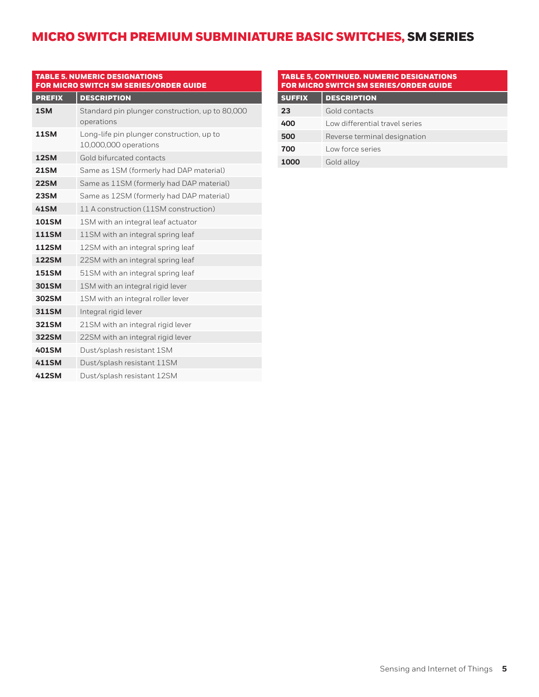| <b>TABLE 5. NUMERIC DESIGNATIONS</b><br><b>FOR MICRO SWITCH SM SERIES/ORDER GUIDE</b> |                                                                    |  |  |  |  |  |  |  |
|---------------------------------------------------------------------------------------|--------------------------------------------------------------------|--|--|--|--|--|--|--|
| <b>PREFIX</b>                                                                         | <b>DESCRIPTION</b>                                                 |  |  |  |  |  |  |  |
| 1SM                                                                                   | Standard pin plunger construction, up to 80,000<br>operations      |  |  |  |  |  |  |  |
| <b>11SM</b>                                                                           | Long-life pin plunger construction, up to<br>10,000,000 operations |  |  |  |  |  |  |  |
| <b>12SM</b>                                                                           | Gold bifurcated contacts                                           |  |  |  |  |  |  |  |
| <b>21SM</b>                                                                           | Same as 1SM (formerly had DAP material)                            |  |  |  |  |  |  |  |
| <b>22SM</b>                                                                           | Same as 11SM (formerly had DAP material)                           |  |  |  |  |  |  |  |
| <b>23SM</b>                                                                           | Same as 12SM (formerly had DAP material)                           |  |  |  |  |  |  |  |
| <b>41SM</b>                                                                           | 11 A construction (11SM construction)                              |  |  |  |  |  |  |  |
| <b>101SM</b>                                                                          | 1SM with an integral leaf actuator                                 |  |  |  |  |  |  |  |
| <b>111SM</b>                                                                          | 11SM with an integral spring leaf                                  |  |  |  |  |  |  |  |
| <b>112SM</b>                                                                          | 12SM with an integral spring leaf                                  |  |  |  |  |  |  |  |
| <b>122SM</b>                                                                          | 22SM with an integral spring leaf                                  |  |  |  |  |  |  |  |
| <b>151SM</b>                                                                          | 51SM with an integral spring leaf                                  |  |  |  |  |  |  |  |
| <b>301SM</b>                                                                          | 1SM with an integral rigid lever                                   |  |  |  |  |  |  |  |
| <b>302SM</b>                                                                          | 1SM with an integral roller lever                                  |  |  |  |  |  |  |  |
| <b>311SM</b>                                                                          | Integral rigid lever                                               |  |  |  |  |  |  |  |
| <b>321SM</b>                                                                          | 21SM with an integral rigid lever                                  |  |  |  |  |  |  |  |
| <b>322SM</b>                                                                          | 22SM with an integral rigid lever                                  |  |  |  |  |  |  |  |
| <b>401SM</b>                                                                          | Dust/splash resistant 1SM                                          |  |  |  |  |  |  |  |
| <b>411SM</b>                                                                          | Dust/splash resistant 11SM                                         |  |  |  |  |  |  |  |
| 412SM                                                                                 | Dust/splash resistant 12SM                                         |  |  |  |  |  |  |  |

| <b>TABLE 5, CONTINUED. NUMERIC DESIGNATIONS</b><br><b>FOR MICRO SWITCH SM SERIES/ORDER GUIDE</b> |                                |  |  |  |  |  |  |
|--------------------------------------------------------------------------------------------------|--------------------------------|--|--|--|--|--|--|
| <b>SUFFIX</b>                                                                                    | <b>DESCRIPTION</b>             |  |  |  |  |  |  |
| 23                                                                                               | Gold contacts                  |  |  |  |  |  |  |
| 400                                                                                              | Low differential travel series |  |  |  |  |  |  |
| 500                                                                                              | Reverse terminal designation   |  |  |  |  |  |  |
| 700                                                                                              | Low force series               |  |  |  |  |  |  |
| 1000                                                                                             | Gold alloy                     |  |  |  |  |  |  |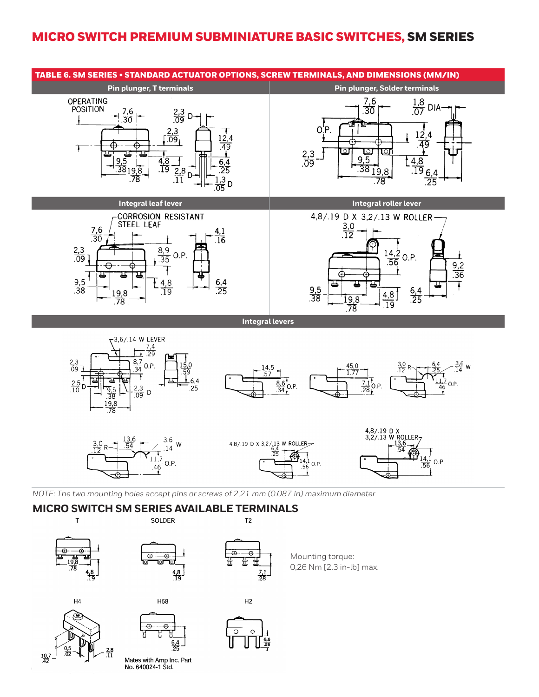



**6** sensing.honeywell.com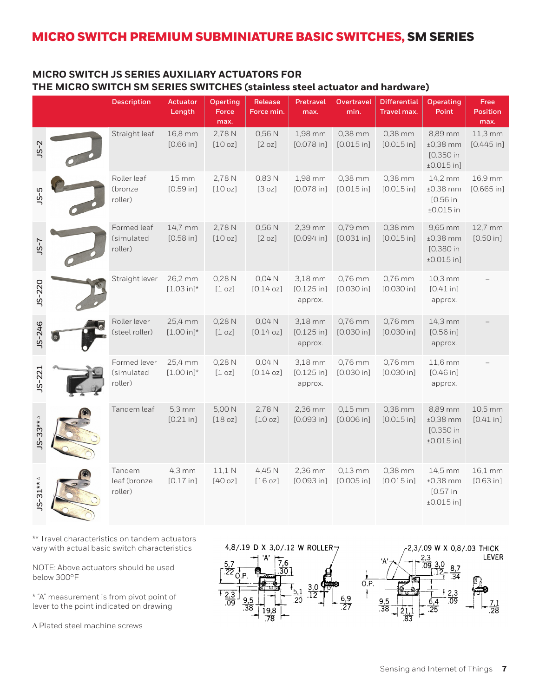## **MICRO SWITCH JS SERIES AUXILIARY ACTUATORS FOR THE MICRO SWITCH SM SERIES SWITCHES (stainless steel actuator and hardware)**

|            | <b>Description</b>                    | Actuator<br>Length              | Operting<br><b>Force</b><br>max. | Release<br>Force min. | Pretravel<br>max.                  | <b>Overtravel</b><br>min. | <b>Differential</b><br>Travel max. | <b>Operating</b><br>Point                          | Free<br><b>Position</b><br>max. |
|------------|---------------------------------------|---------------------------------|----------------------------------|-----------------------|------------------------------------|---------------------------|------------------------------------|----------------------------------------------------|---------------------------------|
| $JS-2$     | Straight leaf                         | 16,8 mm<br>[0.66 in]            | 2,78 N<br>[10 oz]                | 0,56 N<br>[2 oz]      | 1,98 mm<br>$[0.078]$ in]           | 0,38 mm<br>[0.015 in]     | 0,38 mm<br>[0.015 in]              | 8,89 mm<br>$±0,38$ mm<br>[0.350 in<br>$±0.015$ in] | $11,3 \text{ mm}$<br>[0.445 in] |
| $-5$       | Roller leaf<br>(bronze<br>roller)     | $15 \, \text{mm}$<br>[0.59 in]  | 2,78 N<br>[10 oz]                | 0,83N<br>[3 oz]       | 1,98 mm<br>$[0.078]$ in]           | 0,38 mm<br>[0.015 in]     | 0,38 mm<br>[0.015 in]              | 14,2 mm<br>$±0,38$ mm<br>[0.56 in<br>$±0.015$ in   | 16,9 mm<br>$[0.665]$ in]        |
| $5-7$      | Formed leaf<br>(simulated<br>roller)  | 14,7 mm<br>$[0.58]$ in]         | 2,78 N<br>[10 oz]                | 0,56 N<br>[2 oz]      | 2,39 mm<br>[0.094 in]              | $0,79$ mm<br>$[0.031$ in] | 0,38 mm<br>[0.015 in]              | 9,65 mm<br>$±0,38$ mm<br>[0.380 in<br>$±0.015$ in] | 12,7 mm<br>[0.50 in]            |
| $JS - 220$ | Straight lever                        | 26,2 mm<br>$[1.03 in]^*$        | 0,28N<br>[1 oz]                  | $0,04$ N<br>[0.14 oz] | 3,18 mm<br>[0.125 in]<br>approx.   | 0,76 mm<br>[0.030 in]     | 0,76 mm<br>[0.030 in]              | 10,3 mm<br>[0.41 in]<br>approx.                    |                                 |
| $JS - 246$ | Roller lever<br>(steel roller)        | 25,4 mm<br>$[1.00 in]^*$        | 0,28N<br>[1 oz]                  | 0,04 N<br>[0.14 oz]   | 3,18 mm<br>$[0.125$ in]<br>approx. | 0,76 mm<br>[0.030 in]     | 0,76 mm<br>[0.030 in]              | 14,3 mm<br>[0.56 in]<br>approx.                    |                                 |
| $JS - 221$ | Formed lever<br>(simulated<br>roller) | 25,4 mm<br>$[1.00 in]$ *        | 0,28 N<br>$\lceil 1$ oz $\rceil$ | 0,04 N<br>[0.14 oz]   | 3,18 mm<br>[0.125 in]<br>approx.   | 0,76 mm<br>[0.030 in]     | 0,76 mm<br>[0.030 in]              | 11,6 mm<br>[0.46 in]<br>approx.                    |                                 |
| $3^{***}$  | Tandem leaf                           | $5,3 \, \text{mm}$<br>[0.21 in] | 5,00 N<br>[18 oz]                | 2,78 N<br>[10 oz]     | 2,36 mm<br>[0.093 in]              | $0,15$ mm<br>[0.006 in]   | 0,38 mm<br>[0.015 in]              | 8,89 mm<br>$±0,38$ mm<br>[0.350 in<br>$±0.015$ in] | 10,5 mm<br>[0.41 in]            |
| $S-31**$   | Tandem<br>leaf (bronze<br>roller)     | $4,3 \text{ mm}$<br>[0.17 in]   | 11.1 <sub>N</sub><br>[40 oz]     | 4,45 N<br>[16 oz]     | 2,36 mm<br>[0.093 in]              | $0,13$ mm<br>[0.005 in]   | 0,38 mm<br>[0.015 in]              | 14,5 mm<br>$±0,38$ mm<br>[0.57 in<br>$±0.015$ in]  | 16,1 mm<br>[0.63 in]            |

\*\* Travel characteristics on tandem actuators vary with actual basic switch characteristics

NOTE: Above actuators should be used below 300°F

\* "A" measurement is from pivot point of lever to the point indicated on drawing

 $\Delta$  Plated steel machine screws

4,8/.19 D X 3,0/.12 W ROLLER7